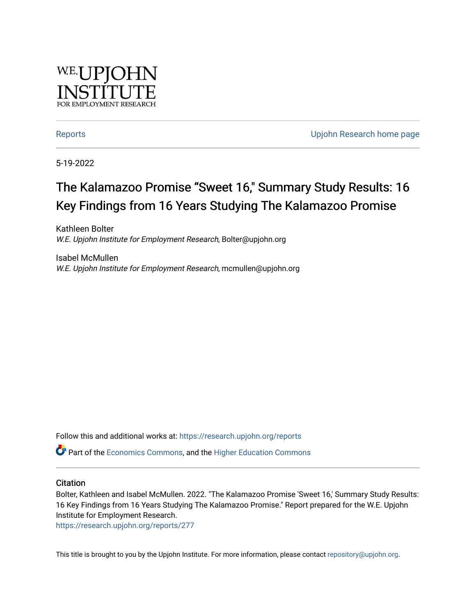

[Reports](https://research.upjohn.org/reports) **Example 20** Reports **CONFIDENTIAL RESEARCH HOME PAGE 2018** 

5-19-2022

### The Kalamazoo Promise "Sweet 16," Summary Study Results: 16 Key Findings from 16 Years Studying The Kalamazoo Promise

Kathleen Bolter W.E. Upjohn Institute for Employment Research, Bolter@upjohn.org

Isabel McMullen W.E. Upjohn Institute for Employment Research, mcmullen@upjohn.org

Follow this and additional works at: [https://research.upjohn.org/reports](https://research.upjohn.org/reports?utm_source=research.upjohn.org%2Freports%2F277&utm_medium=PDF&utm_campaign=PDFCoverPages) 

Part of the [Economics Commons](https://network.bepress.com/hgg/discipline/340?utm_source=research.upjohn.org%2Freports%2F277&utm_medium=PDF&utm_campaign=PDFCoverPages), and the [Higher Education Commons](https://network.bepress.com/hgg/discipline/1245?utm_source=research.upjohn.org%2Freports%2F277&utm_medium=PDF&utm_campaign=PDFCoverPages) 

### **Citation**

Bolter, Kathleen and Isabel McMullen. 2022. "The Kalamazoo Promise 'Sweet 16,' Summary Study Results: 16 Key Findings from 16 Years Studying The Kalamazoo Promise." Report prepared for the W.E. Upjohn Institute for Employment Research.

<https://research.upjohn.org/reports/277>

This title is brought to you by the Upjohn Institute. For more information, please contact [repository@upjohn.org](mailto:repository@upjohn.org).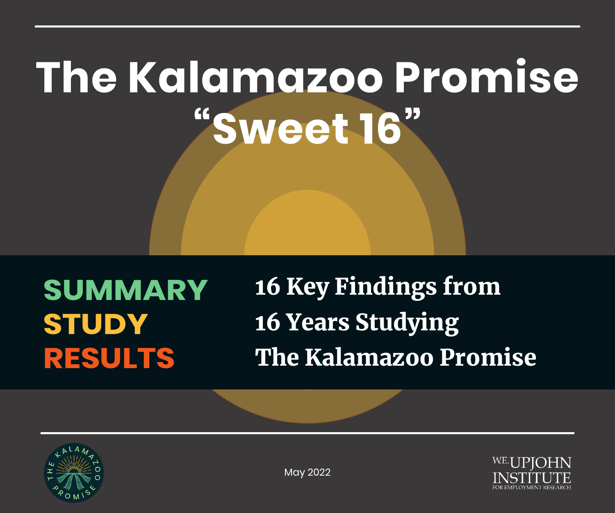# **The Kalamazoo Promise "Sweet 16"**

**SUMMARY STUDY RESULTS**

16 Key Findings from 16 Years Studying The Kalamazoo Promise





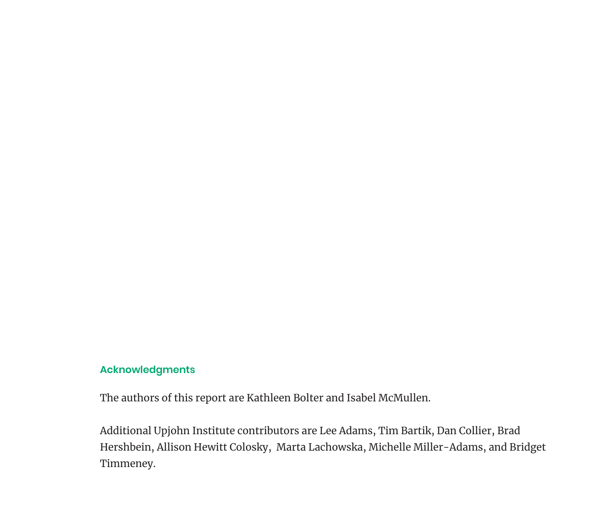### **Acknowledgments**

The authors of this report are Kathleen Bolter and Isabel McMullen.

Additional Upjohn Institute contributors are Lee Adams, Tim Bartik, Dan Collier, Brad Hershbein, Allison Hewitt Colosky, Marta Lachowska, Michelle Miller-Adams, and Bridget Timmeney.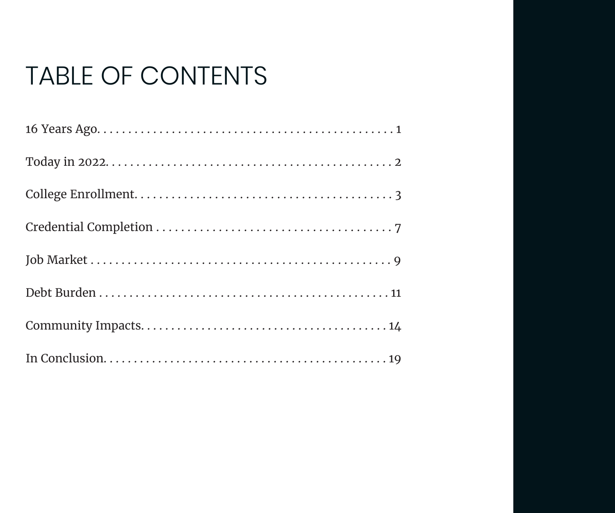### TABLE OF CONTENTS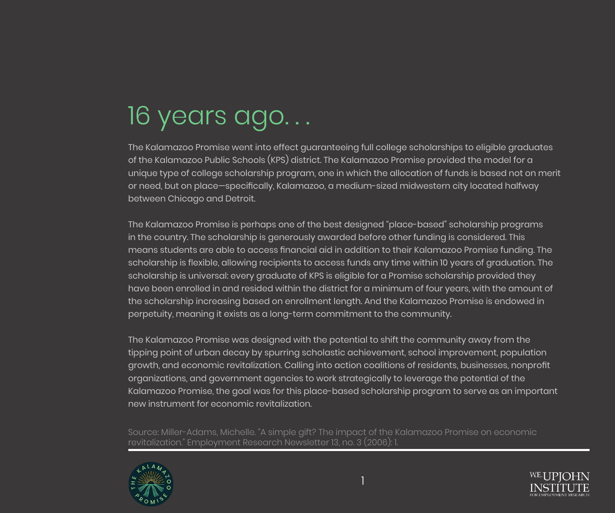## 16 years ago...

The Kalamazoo Promise went into effect guaranteeing full college scholarships to eligible graduates of the Kalamazoo Public Schools (KPS) district. The Kalamazoo Promise provided the model for a unique type of college scholarship program, one in which the allocation of funds is based not on merit or need, but on place—specifically, Kalamazoo, a medium-sized midwestern city located halfway between Chicago and Detroit.

The Kalamazoo Promise is perhaps one of the best designed "place-based" scholarship programs in the country. The scholarship is generously awarded before other funding is considered. This means students are able to access financial aid in addition to their Kalamazoo Promise funding. The scholarship is flexible, allowing recipients to access funds any time within 10 years of graduation. The scholarship is universal: every graduate of KPS is eligible for a Promise scholarship provided they have been enrolled in and resided within the district for a minimum of four years, with the amount of the scholarship increasing based on enrollment length. And the Kalamazoo Promise is endowed in perpetuity, meaning it exists as a long-term commitment to the community.

The Kalamazoo Promise was designed with the potential to shift the community away from the tipping point of urban decay by spurring scholastic achievement, school improvement, population growth, and economic revitalization. Calling into action coalitions of residents, businesses, nonprofit organizations, and government agencies to work strategically to leverage the potential of the Kalamazoo Promise, the goal was for this place-based scholarship program to serve as an important new instrument for economic revitalization.

Source: Miller-Adams, Michelle. "A simple gift? The impact of the Kalamazoo Promise on economic revitalization." Employment Research Newsletter 13, no. 3 (2006): 1.

1



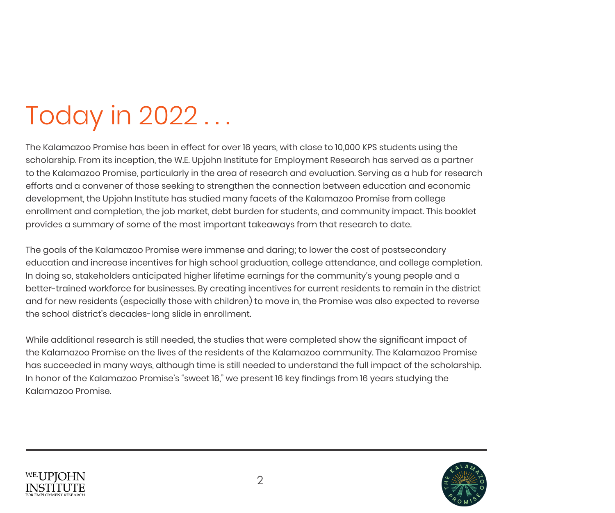## Today in 2022 ...

The Kalamazoo Promise has been in effect for over 16 years, with close to 10,000 KPS students using the scholarship. From its inception, the W.E. Upjohn Institute for Employment Research has served as a partner to the Kalamazoo Promise, particularly in the area of research and evaluation. Serving as a hub for research efforts and a convener of those seeking to strengthen the connection between education and economic development, the Upjohn Institute has studied many facets of the Kalamazoo Promise from college enrollment and completion, the job market, debt burden for students, and community impact. This booklet provides a summary of some of the most important takeaways from that research to date.

The goals of the Kalamazoo Promise were immense and daring; to lower the cost of postsecondary education and increase incentives for high school graduation, college attendance, and college completion. In doing so, stakeholders anticipated higher lifetime earnings for the community's young people and a better-trained workforce for businesses. By creating incentives for current residents to remain in the district and for new residents (especially those with children) to move in, the Promise was also expected to reverse the school district's decades-long slide in enrollment.

While additional research is still needed, the studies that were completed show the significant impact of the Kalamazoo Promise on the lives of the residents of the Kalamazoo community. The Kalamazoo Promise has succeeded in many ways, although time is still needed to understand the full impact of the scholarship. In honor of the Kalamazoo Promise's "sweet 16," we present 16 key findings from 16 years studying the Kalamazoo Promise.



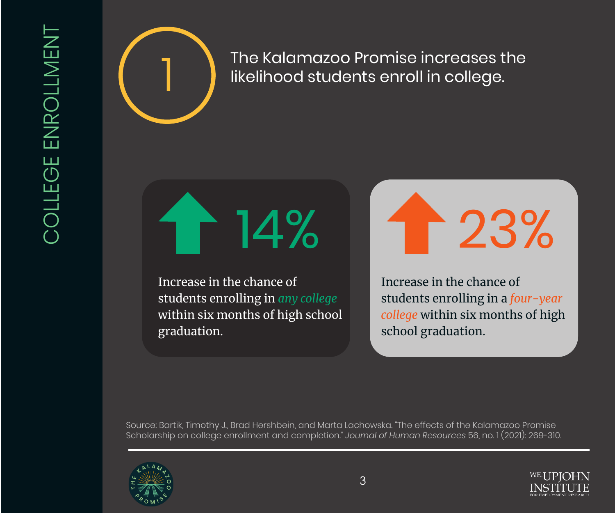

The Kalamazoo Promise increases the<br>likelihood students enroll in college. likelihood students enroll in college.

14%

Increase in the chance of students enrolling in *any college* within six months of high school graduation.

23%

Increase in the chance of students enrolling in a *four-year college* within six months of high school graduation.

Source: Bartik, Timothy J., Brad Hershbein, and Marta Lachowska. "The effects of the Kalamazoo Promise Scholarship on college enrollment and completion." *Journal of Human Resources* 56, no. 1 (2021): 269-310.



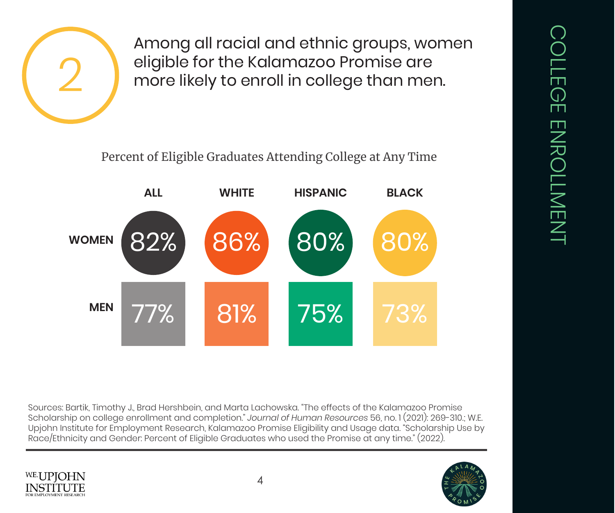

Among all racial and ethnic groups, women eligible for the Kalamazoo Promise are more likely to enroll in college than men.

Percent of Eligible Graduates Attending College at Any Time



Sources: Bartik, Timothy J., Brad Hershbein, and Marta Lachowska. "The effects of the Kalamazoo Promise Scholarship on college enrollment and completion." *Journal of Human Resources* 56, no. 1 (2021): 269-310.; W.E. Upjohn Institute for Employment Research, Kalamazoo Promise Eligibility and Usage data. "Scholarship Use by Race/Ethnicity and Gender: Percent of Eligible Graduates who used the Promise at any time." (2022).



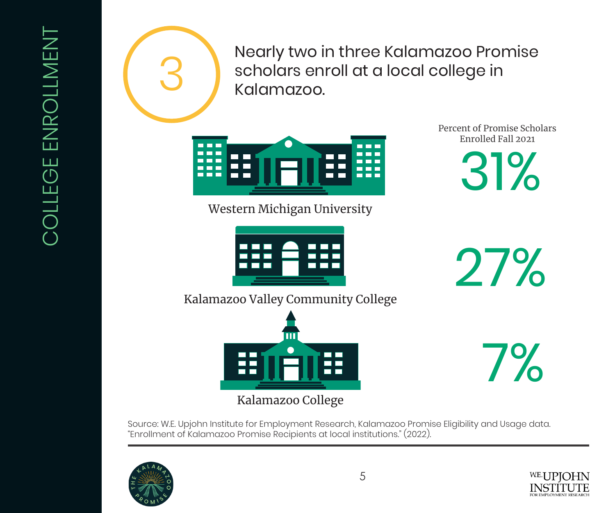

3 Nearly two in three Kalamazoo Promise<br>Salamazoo.<br>Kalamazoo. scholars enroll at a local college in Kalamazoo.



Western Michigan University



Percent of Promise Scholars Enrolled Fall 2021

31%

27%

7%

Kalamazoo Valley Community College



Kalamazoo College

Source: W.E. Upjohn Institute for Employment Research, Kalamazoo Promise Eligibility and Usage data. "Enrollment of Kalamazoo Promise Recipients at local institutions." (2022).



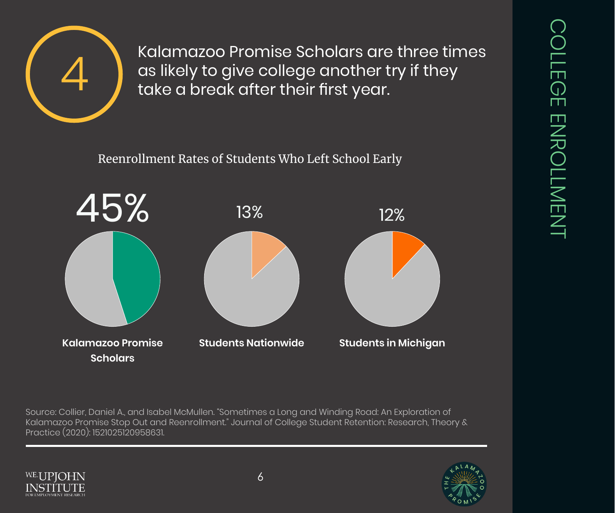

Kalamazoo Promise Scholars are three times<br>as likely to give college another try if they<br>take a break after their first year. as likely to give college another try if they take a break after their first year.

Reenrollment Rates of Students Who Left School Early



Source: Collier, Daniel A., and Isabel McMullen. "Sometimes a Long and Winding Road: An Exploration of Kalamazoo Promise Stop Out and Reenrollment." Journal of College Student Retention: Research, Theory & Practice (2020): 1521025120958631.



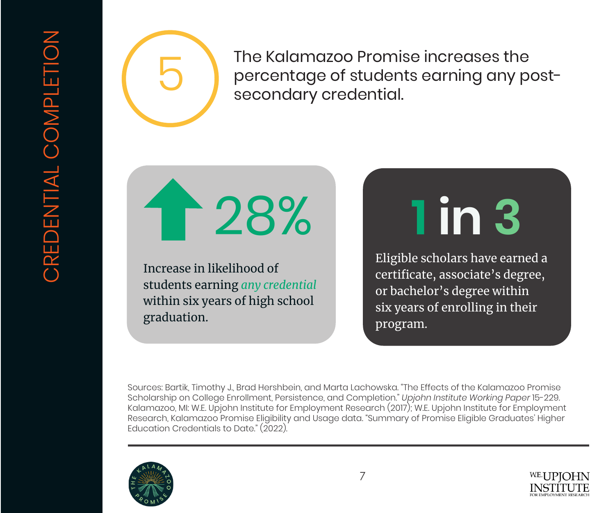

The Kalamazoo Promise increases the<br>percentage of students earning any posecondary credential. percentage of students earning any postsecondary credential.

128%

Increase in likelihood of students earning *any credential* within six years of high school graduation.

# **1 in 3**

Eligible scholars have earned a certificate, associate's degree, or bachelor's degree within six years of enrolling in their program.

Sources: Bartik, Timothy J., Brad Hershbein, and Marta Lachowska. "The Effects of the Kalamazoo Promise Scholarship on College Enrollment, Persistence, and Completion." *Upjohn Institute Working Paper* 15-229. Kalamazoo, MI: W.E. Upjohn Institute for Employment Research (2017); W.E. Upjohn Institute for Employment Research, Kalamazoo Promise Eligibility and Usage data. "Summary of Promise Eligible Graduates' Higher Education Credentials to Date." (2022).



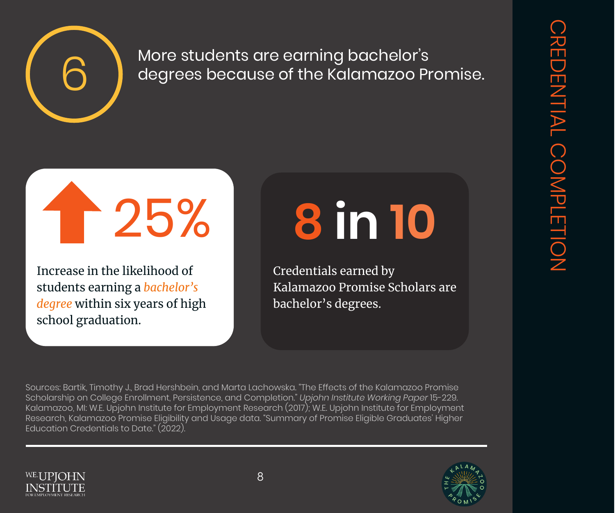

## $\begin{pmatrix} 6 \end{pmatrix}$  More students are earning bachelor's<br>degrees because of the Kalamazoo Pr degrees because of the Kalamazoo Promise.

## 1 25%

Increase in the likelihood of students earning a *bachelor's degree* within six years of high school graduation.

# **8 in 10**

Credentials earned by Kalamazoo Promise Scholars are bachelor's degrees.

Sources: Bartik, Timothy J., Brad Hershbein, and Marta Lachowska. "The Effects of the Kalamazoo Promise Scholarship on College Enrollment, Persistence, and Completion." *Upjohn Institute Working Paper* 15-229. Kalamazoo, MI: W.E. Upjohn Institute for Employment Research (2017); W.E. Upjohn Institute for Employment Research, Kalamazoo Promise Eligibility and Usage data. "Summary of Promise Eligible Graduates' Higher Education Credentials to Date." (2022).



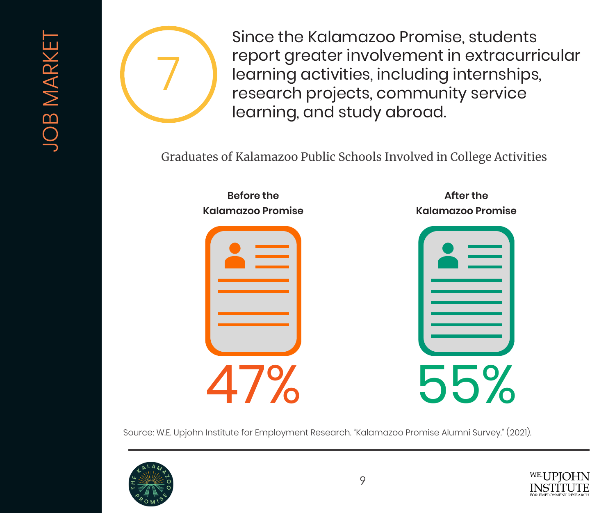

Since the Kalamazoo Promise, students report greater involvement in extracurricular learning activities, including internships, research projects, community service learning, and study abroad.

Graduates of Kalamazoo Public Schools Involved in College Activities



**After the Kalamazoo Promise**



Source: W.E. Upjohn Institute for Employment Research. "Kalamazoo Promise Alumni Survey." (2021).



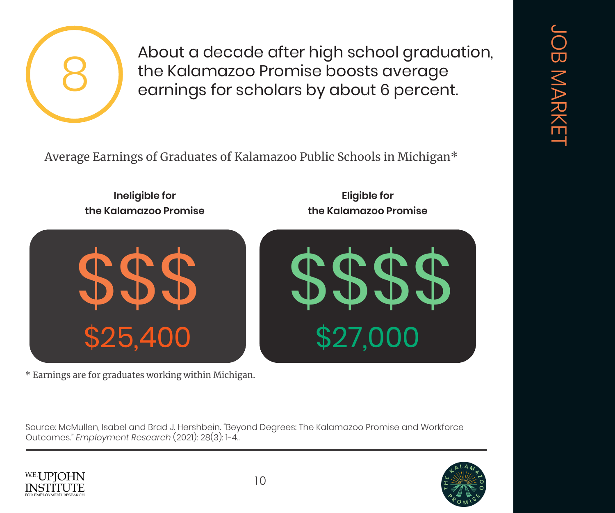

About a decade after high school graduation,<br>the Kalamazoo Promise boosts average<br>earnings for scholars by about 6 percent. the Kalamazoo Promise boosts average earnings for scholars by about 6 percent.

Average Earnings of Graduates of Kalamazoo Public Schools in Michigan\*

**Ineligible for the Kalamazoo Promise**



\* Earnings are for graduates working within Michigan.

Source: McMullen, Isabel and Brad J. Hershbein. "Beyond Degrees: The Kalamazoo Promise and Workforce Outcomes." *Employment Research* (2021): 28(3): 1-4..





**Eligible for the Kalamazoo Promise**

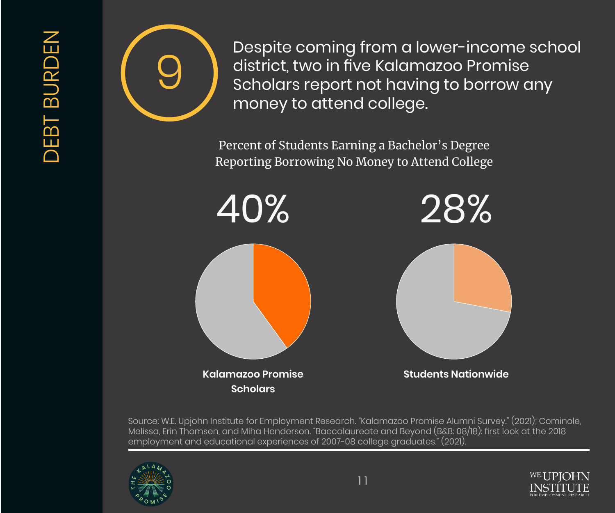

Despite coming from a lower-income school<br>district, two in five Kalamazoo Promise<br>Scholars report not having to borrow any<br>money to attend college district, two in five Kalamazoo Promise Scholars report not having to borrow any money to attend college.

> Percent of Students Earning a Bachelor's Degree Reporting Borrowing No Money to Attend College



Source: W.E. Upjohn Institute for Employment Research. "Kalamazoo Promise Alumni Survey." (2021); Cominole, Melissa, Erin Thomsen, and Miha Henderson. "Baccalaureate and Beyond (B&B: 08/18): first look at the 2018 employment and educational experiences of 2007-08 college graduates." (2021).





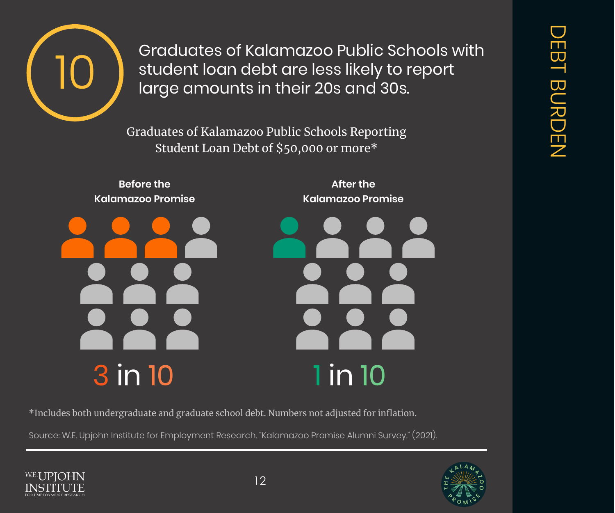

10 Graduates of Kalamazoo Public Schools with<br>IC discussion of their 20s and 30s.<br>Idrge amounts in their 20s and 30s. student loan debt are less likely to report large amounts in their 20s and 30s.

> Graduates of Kalamazoo Public Schools Reporting Student Loan Debt of \$50,000 or more\*



\*Includes both undergraduate and graduate school debt. Numbers not adjusted for inflation.

Source: W.E. Upjohn Institute for Employment Research. "Kalamazoo Promise Alumni Survey." (2021).





12

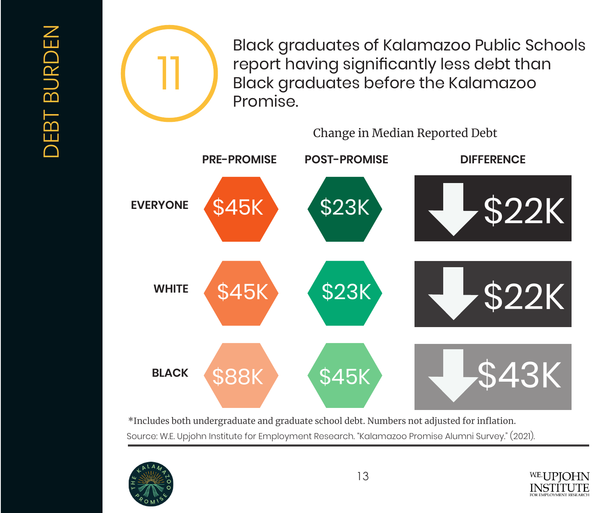

Black graduates of Kalamazoo Public Schools report having significantly less debt than Black graduates before the Kalamazoo Promise.

Change in Median Reported Debt



Source: W.E. Upjohn Institute for Employment Research. "Kalamazoo Promise Alumni Survey." (2021). \*Includes both undergraduate and graduate school debt. Numbers not adjusted for inflation.



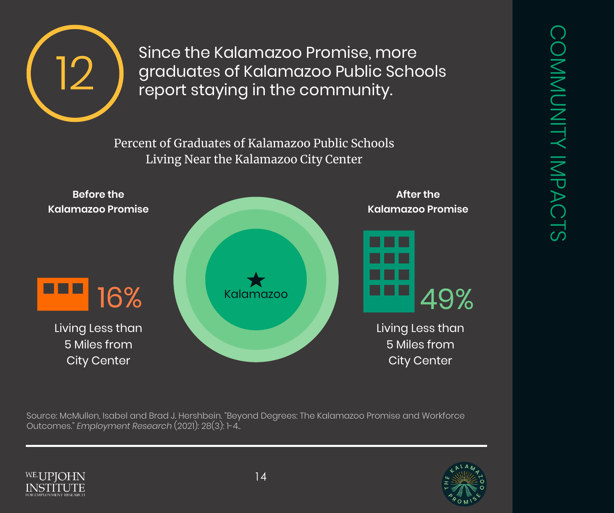

Since the Kalamazoo Promise, more<br>graduates of Kalamazoo Public Scho<br>report staying in the community. graduates of Kalamazoo Public Schools report staying in the community.

> Percent of Graduates of Kalamazoo Public Schools Living Near the Kalamazoo City Center



Source: McMullen, Isabel and Brad J. Hershbein. "Beyond Degrees: The Kalamazoo Promise and Workforce Outcomes." *Employment Research* (2021): 28(3): 1-4..





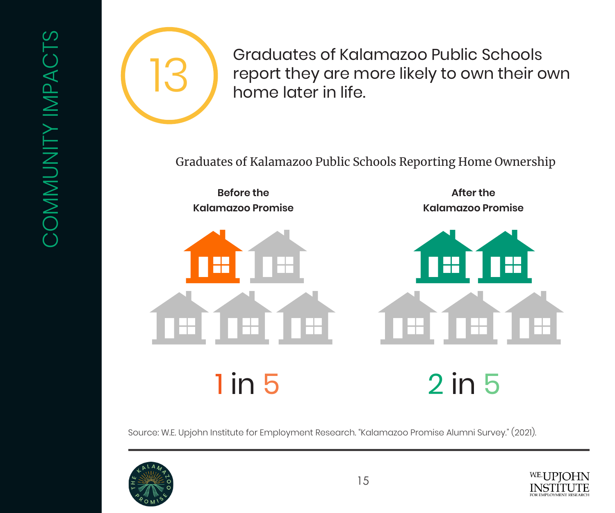

Graduates of Kalamazoo Public Schools<br>report they are more likely to own their o<br>home later in life. report they are more likely to own their own home later in life.

Graduates of Kalamazoo Public Schools Reporting Home Ownership

**Before the Kalamazoo Promise**



**After the Kalamazoo Promise**



1 in 5 2 in 5

Source: W.E. Upjohn Institute for Employment Research. "Kalamazoo Promise Alumni Survey." (2021).



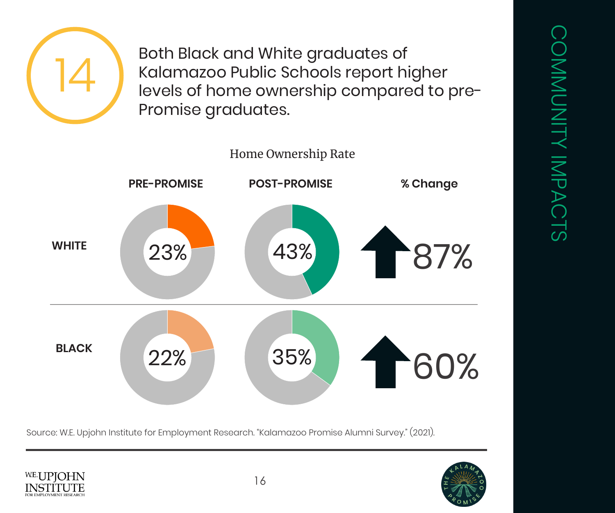Both Black and White graduates of<br>Kalamazoo Public Schools report hi<br>levels of home ownership compare Kalamazoo Public Schools report higher levels of home ownership compared to pre-Promise graduates.



Source: W.E. Upjohn Institute for Employment Research. "Kalamazoo Promise Alumni Survey." (2021).





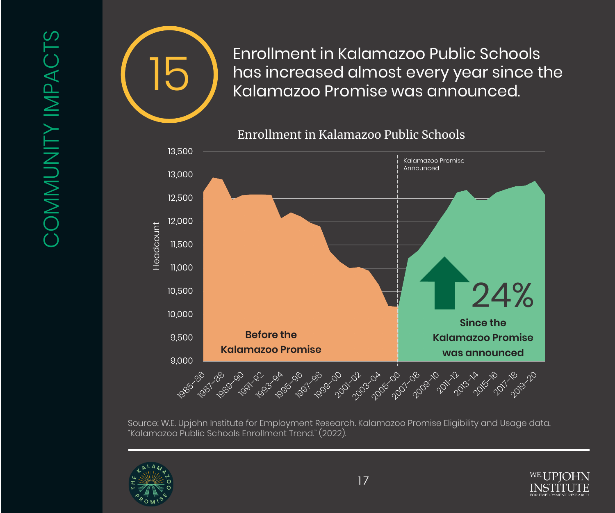

Enrollment in Kalamazoo Public Schools<br>has increased almost every year since t<br>Kalamazoo Promise was announced. has increased almost every year since the Kalamazoo Promise was announced.





Source: W.E. Upjohn Institute for Employment Research. Kalamazoo Promise Eligibility and Usage data. "Kalamazoo Public Schools Enrollment Trend." (2022).



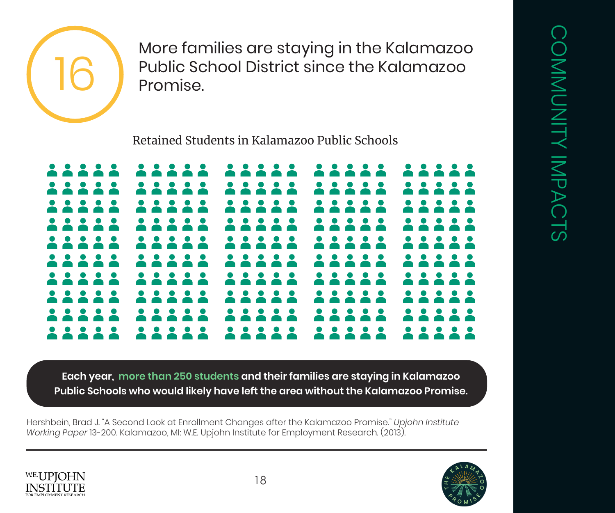

More families are staying in the Kalamazoo<br>Public School District since the Kalamazoo<br>Promise. Public School District since the Kalamazoo Promise.

Retained Students in Kalamazoo Public Schools



**Each year, more than 250 students and their families are staying in Kalamazoo Public Schools who would likely have left the area without the Kalamazoo Promise.**

Hershbein, Brad J. "A Second Look at Enrollment Changes after the Kalamazoo Promise." *Upjohn Institute Working Paper* 13-200. Kalamazoo, MI: W.E. Upjohn Institute for Employment Research. (2013).



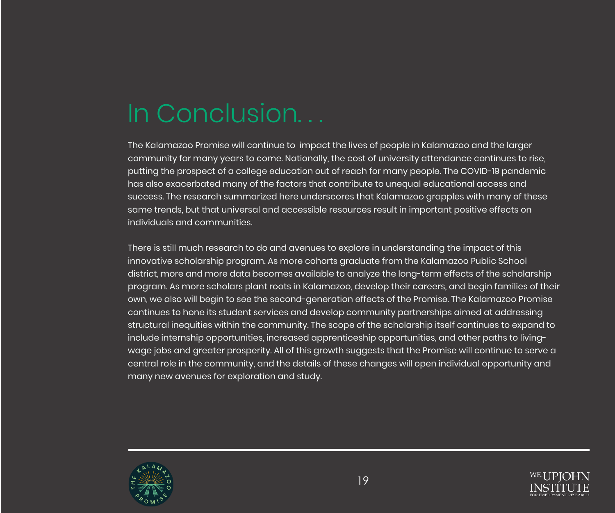## In Conclusion. . .

The Kalamazoo Promise will continue to impact the lives of people in Kalamazoo and the larger community for many years to come. Nationally, the cost of university attendance continues to rise, putting the prospect of a college education out of reach for many people. The COVID-19 pandemic has also exacerbated many of the factors that contribute to unequal educational access and success. The research summarized here underscores that Kalamazoo grapples with many of these same trends, but that universal and accessible resources result in important positive effects on individuals and communities.

There is still much research to do and avenues to explore in understanding the impact of this innovative scholarship program. As more cohorts graduate from the Kalamazoo Public School district, more and more data becomes available to analyze the long-term effects of the scholarship program. As more scholars plant roots in Kalamazoo, develop their careers, and begin families of their own, we also will begin to see the second-generation effects of the Promise. The Kalamazoo Promise continues to hone its student services and develop community partnerships aimed at addressing structural inequities within the community. The scope of the scholarship itself continues to expand to include internship opportunities, increased apprenticeship opportunities, and other paths to livingwage jobs and greater prosperity. All of this growth suggests that the Promise will continue to serve a central role in the community, and the details of these changes will open individual opportunity and many new avenues for exploration and study.